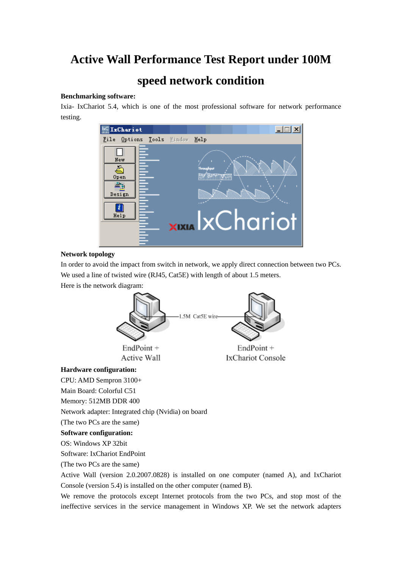# **Active Wall Performance Test Report under 100M**

# **speed network condition**

### **Benchmarking software:**

Ixia- IxChariot 5.4, which is one of the most professional software for network performance testing.



## **Network topology**

In order to avoid the impact from switch in network, we apply direct connection between two PCs. We used a line of twisted wire (RJ45, Cat5E) with length of about 1.5 meters.

Here is the network diagram:



#### **Hardware configuration:**

CPU: AMD Sempron 3100+

Main Board: Colorful C51

Memory: 512MB DDR 400

Network adapter: Integrated chip (Nvidia) on board

(The two PCs are the same)

# **Software configuration:**

OS: Windows XP 32bit

Software: IxChariot EndPoint

(The two PCs are the same)

Active Wall (version 2.0.2007.0828) is installed on one computer (named A), and IxChariot Console (version 5.4) is installed on the other computer (named B).

We remove the protocols except Internet protocols from the two PCs, and stop most of the ineffective services in the service management in Windows XP. We set the network adapters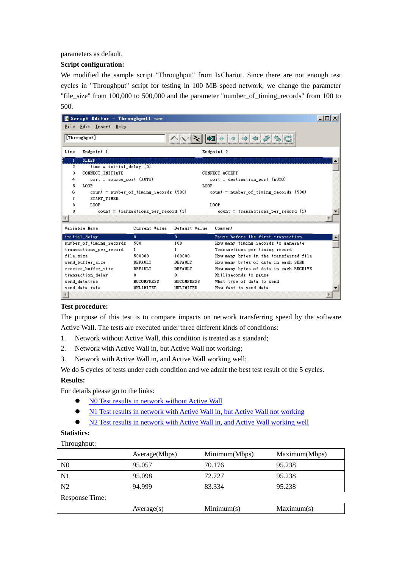parameters as default.

## **Script configuration:**

We modified the sample script "Throughput" from IxChariot. Since there are not enough test cycles in "Throughput" script for testing in 100 MB speed network, we change the parameter "file\_size" from 100,000 to 500,000 and the parameter "number\_of\_timing\_records" from 100 to 500.



#### **Test procedure:**

The purpose of this test is to compare impacts on network transferring speed by the software Active Wall. The tests are executed under three different kinds of conditions:

- 1. Network without Active Wall, this condition is treated as a standard;
- 2. Network with Active Wall in, but Active Wall not working;
- 3. Network with Active Wall in, and Active Wall working well;

We do 5 cycles of tests under each condition and we admit the best test result of the 5 cycles.

#### **Results:**

For details please go to the links:

- [N0 Test results in network without Active Wall](http://awall.lanctrl.com/en/benchmark/N0.html)
- [N1 Test results in network with Active Wall in, but Active Wall not working](http://awall.lanctrl.com/en/benchmark/N1.html)
- [N2 Test results in network with Active Wall in, and Active Wall working well](http://awall.lanctrl.com/en/benchmark/N2.html)

#### **Statistics:**

Throughput:

|                | Average(Mbps) | Minimum(Mbps) | Maximum(Mbps) |  |  |
|----------------|---------------|---------------|---------------|--|--|
| N <sub>0</sub> | 95.057        | 70.176        | 95.238        |  |  |
| N <sub>1</sub> | 95.098        | 72.727        | 95.238        |  |  |
| N2             | 94.999        | 83.334        | 95.238        |  |  |
| Response Time: |               |               |               |  |  |
|                | Average(s)    | Minimum(s)    | Maximum(s)    |  |  |